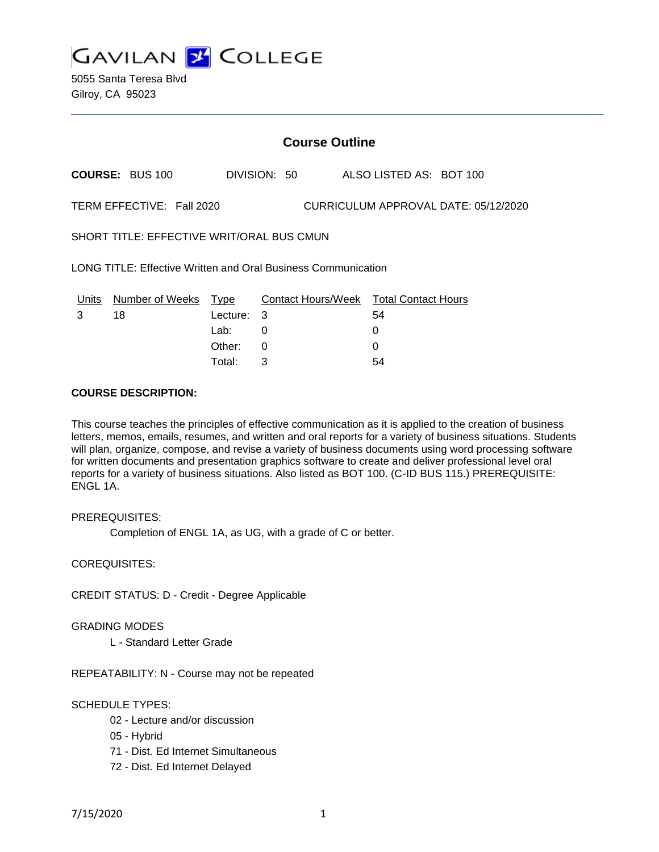**GAVILAN J COLLEGE** 

5055 Santa Teresa Blvd Gilroy, CA 95023

# **Course Outline**

**COURSE:** BUS 100 DIVISION: 50 ALSO LISTED AS: BOT 100

TERM EFFECTIVE: Fall 2020 CURRICULUM APPROVAL DATE: 05/12/2020

SHORT TITLE: EFFECTIVE WRIT/ORAL BUS CMUN

LONG TITLE: Effective Written and Oral Business Communication

| Units | Number of Weeks Type |            | Contact Hours/Week Total Contact Hours |    |
|-------|----------------------|------------|----------------------------------------|----|
|       | 18                   | Lecture: 3 |                                        | 54 |
|       |                      | Lab:       |                                        |    |
|       |                      | Other:     |                                        |    |
|       |                      | Total:     |                                        | 54 |

### **COURSE DESCRIPTION:**

This course teaches the principles of effective communication as it is applied to the creation of business letters, memos, emails, resumes, and written and oral reports for a variety of business situations. Students will plan, organize, compose, and revise a variety of business documents using word processing software for written documents and presentation graphics software to create and deliver professional level oral reports for a variety of business situations. Also listed as BOT 100. (C-ID BUS 115.) PREREQUISITE: ENGL 1A.

PREREQUISITES:

Completion of ENGL 1A, as UG, with a grade of C or better.

COREQUISITES:

CREDIT STATUS: D - Credit - Degree Applicable

GRADING MODES

L - Standard Letter Grade

REPEATABILITY: N - Course may not be repeated

### SCHEDULE TYPES:

- 02 Lecture and/or discussion
- 05 Hybrid
- 71 Dist. Ed Internet Simultaneous
- 72 Dist. Ed Internet Delayed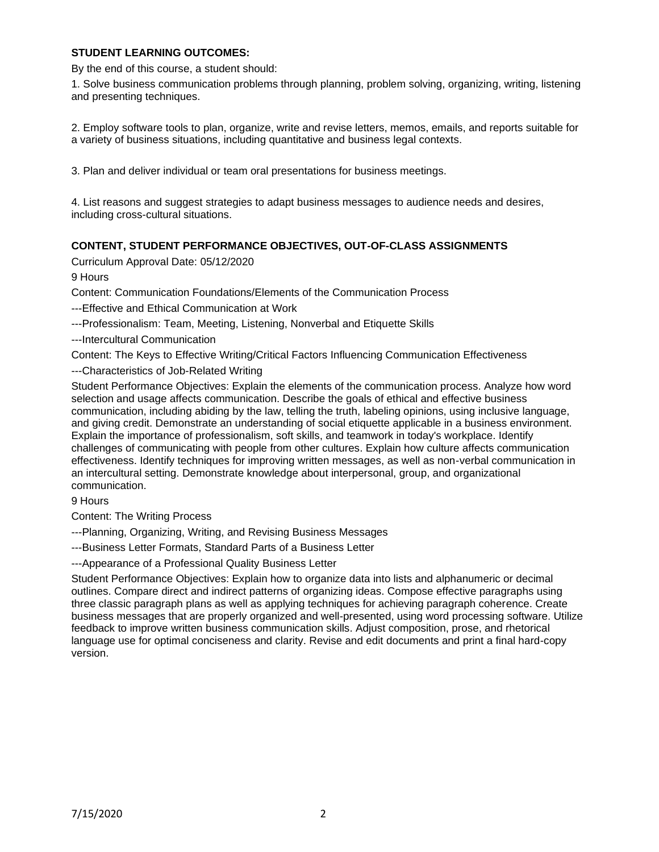# **STUDENT LEARNING OUTCOMES:**

By the end of this course, a student should:

1. Solve business communication problems through planning, problem solving, organizing, writing, listening and presenting techniques.

2. Employ software tools to plan, organize, write and revise letters, memos, emails, and reports suitable for a variety of business situations, including quantitative and business legal contexts.

3. Plan and deliver individual or team oral presentations for business meetings.

4. List reasons and suggest strategies to adapt business messages to audience needs and desires, including cross-cultural situations.

# **CONTENT, STUDENT PERFORMANCE OBJECTIVES, OUT-OF-CLASS ASSIGNMENTS**

Curriculum Approval Date: 05/12/2020

9 Hours

Content: Communication Foundations/Elements of the Communication Process

---Effective and Ethical Communication at Work

---Professionalism: Team, Meeting, Listening, Nonverbal and Etiquette Skills

---Intercultural Communication

Content: The Keys to Effective Writing/Critical Factors Influencing Communication Effectiveness

---Characteristics of Job-Related Writing

Student Performance Objectives: Explain the elements of the communication process. Analyze how word selection and usage affects communication. Describe the goals of ethical and effective business communication, including abiding by the law, telling the truth, labeling opinions, using inclusive language, and giving credit. Demonstrate an understanding of social etiquette applicable in a business environment. Explain the importance of professionalism, soft skills, and teamwork in today's workplace. Identify challenges of communicating with people from other cultures. Explain how culture affects communication effectiveness. Identify techniques for improving written messages, as well as non-verbal communication in an intercultural setting. Demonstrate knowledge about interpersonal, group, and organizational communication.

9 Hours

Content: The Writing Process

---Planning, Organizing, Writing, and Revising Business Messages

---Business Letter Formats, Standard Parts of a Business Letter

---Appearance of a Professional Quality Business Letter

Student Performance Objectives: Explain how to organize data into lists and alphanumeric or decimal outlines. Compare direct and indirect patterns of organizing ideas. Compose effective paragraphs using three classic paragraph plans as well as applying techniques for achieving paragraph coherence. Create business messages that are properly organized and well-presented, using word processing software. Utilize feedback to improve written business communication skills. Adjust composition, prose, and rhetorical language use for optimal conciseness and clarity. Revise and edit documents and print a final hard-copy version.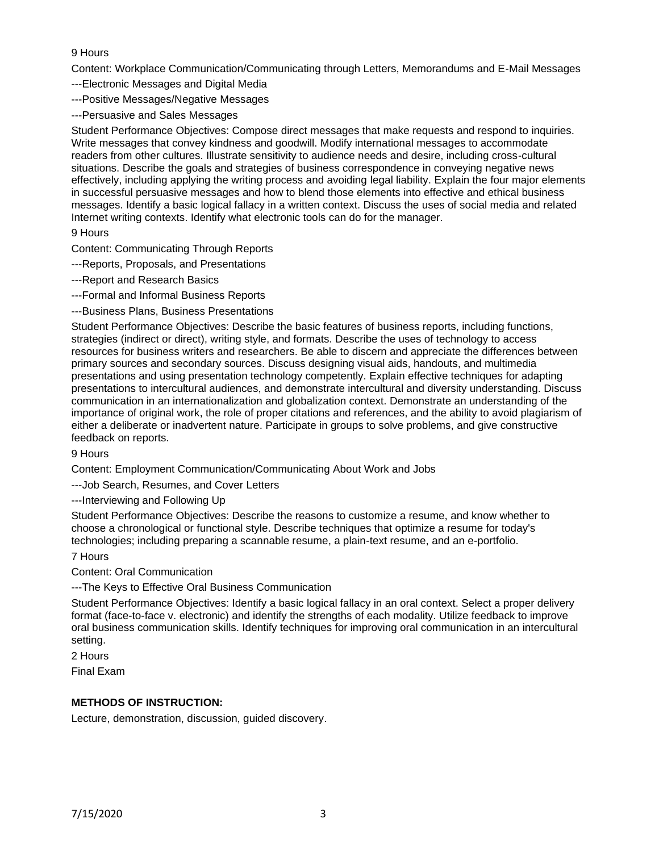# 9 Hours

Content: Workplace Communication/Communicating through Letters, Memorandums and E-Mail Messages

- ---Electronic Messages and Digital Media
- ---Positive Messages/Negative Messages
- ---Persuasive and Sales Messages

Student Performance Objectives: Compose direct messages that make requests and respond to inquiries. Write messages that convey kindness and goodwill. Modify international messages to accommodate readers from other cultures. Illustrate sensitivity to audience needs and desire, including cross-cultural situations. Describe the goals and strategies of business correspondence in conveying negative news effectively, including applying the writing process and avoiding legal liability. Explain the four major elements in successful persuasive messages and how to blend those elements into effective and ethical business messages. Identify a basic logical fallacy in a written context. Discuss the uses of social media and related Internet writing contexts. Identify what electronic tools can do for the manager.

### 9 Hours

Content: Communicating Through Reports

- ---Reports, Proposals, and Presentations
- ---Report and Research Basics
- ---Formal and Informal Business Reports
- ---Business Plans, Business Presentations

Student Performance Objectives: Describe the basic features of business reports, including functions, strategies (indirect or direct), writing style, and formats. Describe the uses of technology to access resources for business writers and researchers. Be able to discern and appreciate the differences between primary sources and secondary sources. Discuss designing visual aids, handouts, and multimedia presentations and using presentation technology competently. Explain effective techniques for adapting presentations to intercultural audiences, and demonstrate intercultural and diversity understanding. Discuss communication in an internationalization and globalization context. Demonstrate an understanding of the importance of original work, the role of proper citations and references, and the ability to avoid plagiarism of either a deliberate or inadvertent nature. Participate in groups to solve problems, and give constructive feedback on reports.

### 9 Hours

Content: Employment Communication/Communicating About Work and Jobs

---Job Search, Resumes, and Cover Letters

---Interviewing and Following Up

Student Performance Objectives: Describe the reasons to customize a resume, and know whether to choose a chronological or functional style. Describe techniques that optimize a resume for today's technologies; including preparing a scannable resume, a plain-text resume, and an e-portfolio.

# 7 Hours

Content: Oral Communication

---The Keys to Effective Oral Business Communication

Student Performance Objectives: Identify a basic logical fallacy in an oral context. Select a proper delivery format (face-to-face v. electronic) and identify the strengths of each modality. Utilize feedback to improve oral business communication skills. Identify techniques for improving oral communication in an intercultural setting.

2 Hours

Final Exam

# **METHODS OF INSTRUCTION:**

Lecture, demonstration, discussion, guided discovery.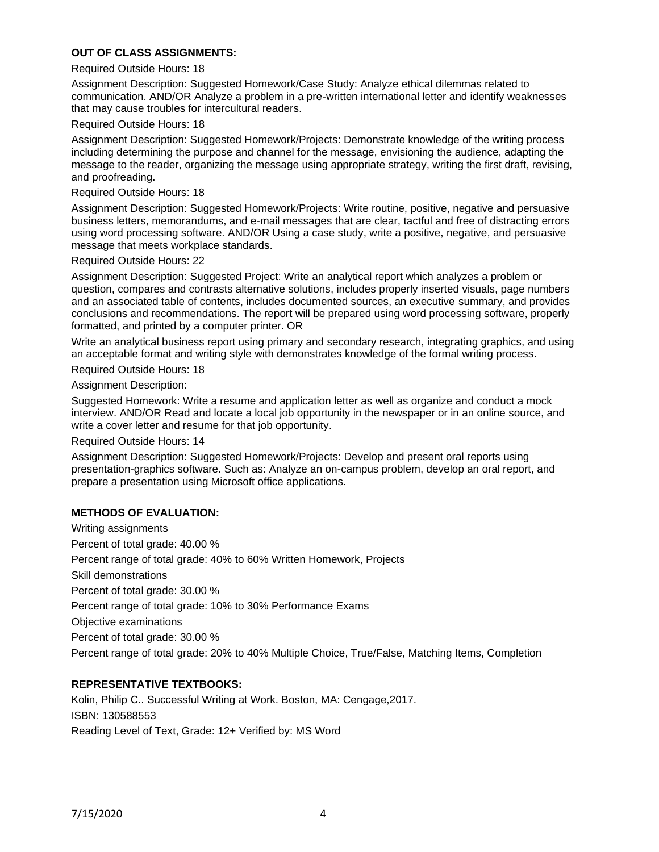# **OUT OF CLASS ASSIGNMENTS:**

#### Required Outside Hours: 18

Assignment Description: Suggested Homework/Case Study: Analyze ethical dilemmas related to communication. AND/OR Analyze a problem in a pre-written international letter and identify weaknesses that may cause troubles for intercultural readers.

#### Required Outside Hours: 18

Assignment Description: Suggested Homework/Projects: Demonstrate knowledge of the writing process including determining the purpose and channel for the message, envisioning the audience, adapting the message to the reader, organizing the message using appropriate strategy, writing the first draft, revising, and proofreading.

#### Required Outside Hours: 18

Assignment Description: Suggested Homework/Projects: Write routine, positive, negative and persuasive business letters, memorandums, and e-mail messages that are clear, tactful and free of distracting errors using word processing software. AND/OR Using a case study, write a positive, negative, and persuasive message that meets workplace standards.

#### Required Outside Hours: 22

Assignment Description: Suggested Project: Write an analytical report which analyzes a problem or question, compares and contrasts alternative solutions, includes properly inserted visuals, page numbers and an associated table of contents, includes documented sources, an executive summary, and provides conclusions and recommendations. The report will be prepared using word processing software, properly formatted, and printed by a computer printer. OR

Write an analytical business report using primary and secondary research, integrating graphics, and using an acceptable format and writing style with demonstrates knowledge of the formal writing process.

Required Outside Hours: 18

Assignment Description:

Suggested Homework: Write a resume and application letter as well as organize and conduct a mock interview. AND/OR Read and locate a local job opportunity in the newspaper or in an online source, and write a cover letter and resume for that job opportunity.

Required Outside Hours: 14

Assignment Description: Suggested Homework/Projects: Develop and present oral reports using presentation-graphics software. Such as: Analyze an on-campus problem, develop an oral report, and prepare a presentation using Microsoft office applications.

### **METHODS OF EVALUATION:**

Writing assignments Percent of total grade: 40.00 % Percent range of total grade: 40% to 60% Written Homework, Projects Skill demonstrations Percent of total grade: 30.00 % Percent range of total grade: 10% to 30% Performance Exams Objective examinations Percent of total grade: 30.00 % Percent range of total grade: 20% to 40% Multiple Choice, True/False, Matching Items, Completion

### **REPRESENTATIVE TEXTBOOKS:**

Kolin, Philip C.. Successful Writing at Work. Boston, MA: Cengage,2017. ISBN: 130588553 Reading Level of Text, Grade: 12+ Verified by: MS Word